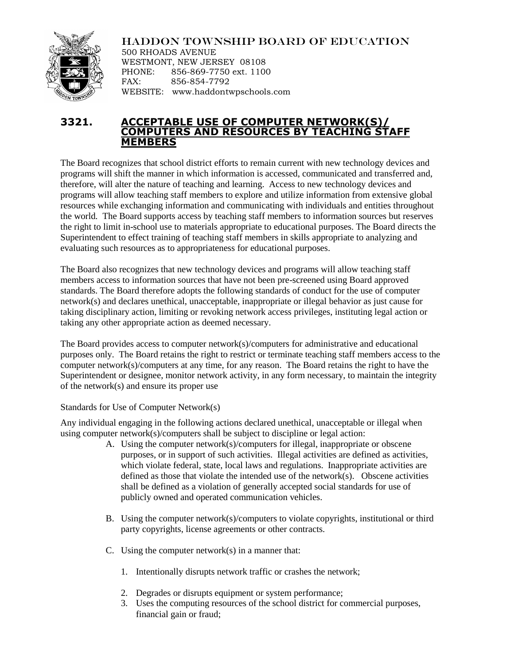

HADDON TOWNSHIP BOARD OF EDUCATION

500 RHOADS AVENUE WESTMONT, NEW JERSEY 08108 PHONE: 856-869-7750 ext. 1100 FAX: 856-854-7792 WEBSITE: www.haddontwpschools.com

## **3321. ACCEPTABLE USE OF COMPUTER NETWORK(S)/ COMPUTERS AND RESOURCES BY TEACHING STAFF MEMBERS**

The Board recognizes that school district efforts to remain current with new technology devices and programs will shift the manner in which information is accessed, communicated and transferred and, therefore, will alter the nature of teaching and learning. Access to new technology devices and programs will allow teaching staff members to explore and utilize information from extensive global resources while exchanging information and communicating with individuals and entities throughout the world*.* The Board supports access by teaching staff members to information sources but reserves the right to limit in-school use to materials appropriate to educational purposes. The Board directs the Superintendent to effect training of teaching staff members in skills appropriate to analyzing and evaluating such resources as to appropriateness for educational purposes.

The Board also recognizes that new technology devices and programs will allow teaching staff members access to information sources that have not been pre-screened using Board approved standards. The Board therefore adopts the following standards of conduct for the use of computer network(s) and declares unethical, unacceptable, inappropriate or illegal behavior as just cause for taking disciplinary action, limiting or revoking network access privileges, instituting legal action or taking any other appropriate action as deemed necessary.

The Board provides access to computer network(s)/computers for administrative and educational purposes only. The Board retains the right to restrict or terminate teaching staff members access to the computer network(s)/computers at any time, for any reason. The Board retains the right to have the Superintendent or designee, monitor network activity, in any form necessary, to maintain the integrity of the network(s) and ensure its proper use

Standards for Use of Computer Network(s)

Any individual engaging in the following actions declared unethical, unacceptable or illegal when using computer network(s)/computers shall be subject to discipline or legal action:

- A. Using the computer network(s)/computers for illegal, inappropriate or obscene purposes, or in support of such activities. Illegal activities are defined as activities, which violate federal, state, local laws and regulations. Inappropriate activities are defined as those that violate the intended use of the network(s). Obscene activities shall be defined as a violation of generally accepted social standards for use of publicly owned and operated communication vehicles.
- B. Using the computer network(s)/computers to violate copyrights, institutional or third party copyrights, license agreements or other contracts.
- C. Using the computer network(s) in a manner that:
	- 1. Intentionally disrupts network traffic or crashes the network;
	- 2. Degrades or disrupts equipment or system performance;
	- 3. Uses the computing resources of the school district for commercial purposes, financial gain or fraud;